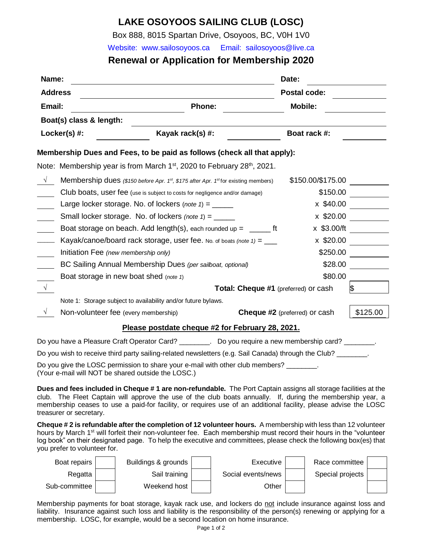# **LAKE OSOYOOS SAILING CLUB (LOSC)**

Box 888, 8015 Spartan Drive, Osoyoos, BC, V0H 1V0

Website: [www.sailosoyoos.c](http://www.sailosoyoos./)a Email: [sailosoyoos@live.ca](mailto:sailosoyoos@live.ca)

# **Renewal or Application for Membership 2020**

| Name:          |                                                                                                             |                                      | Date:             |                |  |  |  |
|----------------|-------------------------------------------------------------------------------------------------------------|--------------------------------------|-------------------|----------------|--|--|--|
| <b>Address</b> |                                                                                                             | <b>Postal code:</b>                  |                   |                |  |  |  |
| Email:         | <b>Phone:</b>                                                                                               |                                      |                   | <b>Mobile:</b> |  |  |  |
|                | Boat(s) class & length:                                                                                     |                                      |                   |                |  |  |  |
|                | Kayak rack(s) #:<br>$Locker(s)$ #:                                                                          |                                      | Boat rack #:      |                |  |  |  |
|                | Membership Dues and Fees, to be paid as follows (check all that apply):                                     |                                      |                   |                |  |  |  |
|                | Note: Membership year is from March $1st$ , 2020 to February 28 <sup>th</sup> , 2021.                       |                                      |                   |                |  |  |  |
| $\sqrt{ }$     | Membership dues (\$150 before Apr. 1 <sup>st</sup> , \$175 after Apr. 1 <sup>st</sup> for existing members) |                                      | \$150.00/\$175.00 |                |  |  |  |
|                | Club boats, user fee (use is subject to costs for negligence and/or damage)                                 |                                      | \$150.00          |                |  |  |  |
|                | x \$40.00<br>Large locker storage. No. of lockers (note $1 =$ ______                                        |                                      |                   |                |  |  |  |
|                | Small locker storage. No. of lockers (note $1 =$ ______                                                     |                                      | x \$20.00         |                |  |  |  |
|                | Boat storage on beach. Add length(s), each rounded up = $\frac{1}{\sqrt{1-\frac{1}{n}}}\$ ft                |                                      | x \$3.00/ft       |                |  |  |  |
|                | Kayak/canoe/board rack storage, user fee. No. of boats (note $1) =$ ___                                     |                                      | x \$20.00         |                |  |  |  |
|                | Initiation Fee (new membership only)                                                                        |                                      | \$250.00          |                |  |  |  |
|                | BC Sailing Annual Membership Dues (per sailboat, optional)                                                  |                                      | \$28.00           |                |  |  |  |
|                | Boat storage in new boat shed (note 1)                                                                      |                                      | \$80.00           |                |  |  |  |
| $\sqrt{ }$     | Total: Cheque #1 (preferred) or cash                                                                        |                                      |                   |                |  |  |  |
|                | Note 1: Storage subject to availability and/or future bylaws.                                               |                                      |                   |                |  |  |  |
|                | Non-volunteer fee (every membership)                                                                        | <b>Cheque #2</b> (preferred) or cash |                   |                |  |  |  |
|                | Please postdate cheque #2 for February 28, 2021.                                                            |                                      |                   |                |  |  |  |
|                | Do you have a Pleasure Craft Operator Card? _________. Do you require a new membership card?                |                                      |                   |                |  |  |  |

Do you wish to receive third party sailing-related newsletters (e.g. Sail Canada) through the Club? \_\_\_\_\_\_\_\_.

Do you give the LOSC permission to share your e-mail with other club members? (Your e-mail will NOT be shared outside the LOSC.)

**Dues and fees included in Cheque # 1 are non-refundable.** The Port Captain assigns all storage facilities at the club. The Fleet Captain will approve the use of the club boats annually. If, during the membership year, a membership ceases to use a paid-for facility, or requires use of an additional facility, please advise the LOSC treasurer or secretary.

**Cheque # 2 is refundable after the completion of 12 volunteer hours.** A membership with less than 12 volunteer hours by March 1<sup>st</sup> will forfeit their non-volunteer fee. Each membership must record their hours in the "volunteer log book" on their designated page. To help the executive and committees, please check the following box(es) that you prefer to volunteer for.

| Boat repairs  | Buildings & grounds | Executive          | Race committee   |  |
|---------------|---------------------|--------------------|------------------|--|
| Regatta       | Sail training       | Social events/news | Special projects |  |
| Sub-committee | Weekend host        | Other              |                  |  |

Membership payments for boat storage, kayak rack use, and lockers do not include insurance against loss and liability. Insurance against such loss and liability is the responsibility of the person(s) renewing or applying for a membership. LOSC, for example, would be a second location on home insurance.